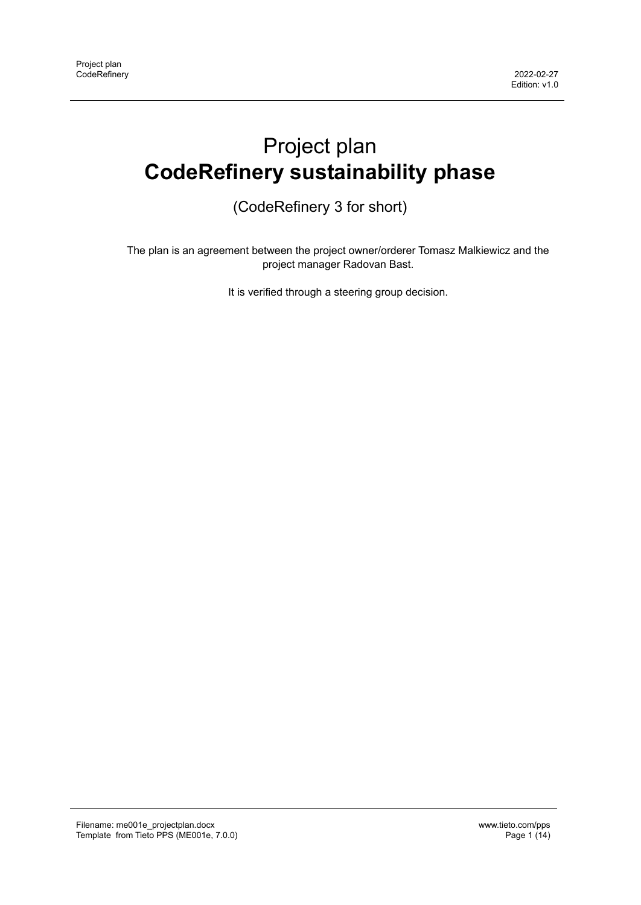# Project plan **CodeRefinery sustainability phase**

(CodeRefinery 3 for short)

The plan is an agreement between the project owner/orderer Tomasz Malkiewicz and the project manager Radovan Bast.

It is verified through a steering group decision.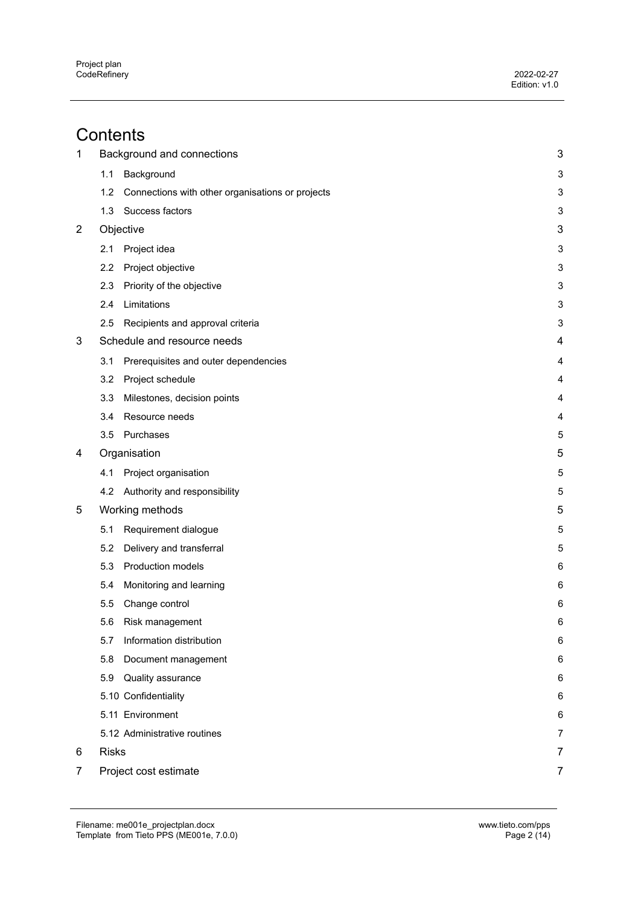# **Contents**

| $\mathbf 1$ |              | Background and connections                       | 3                       |
|-------------|--------------|--------------------------------------------------|-------------------------|
|             | 1.1          | Background                                       | 3                       |
|             | 1.2          | Connections with other organisations or projects | 3                       |
|             | 1.3          | Success factors                                  | 3                       |
| 2           |              | Objective                                        | 3                       |
|             | 2.1          | Project idea                                     | 3                       |
|             | 2.2          | Project objective                                | 3                       |
|             | 2.3          | Priority of the objective                        | 3                       |
|             | 2.4          | Limitations                                      | 3                       |
|             | 2.5          | Recipients and approval criteria                 | 3                       |
| 3           |              | Schedule and resource needs                      | $\overline{\mathbf{4}}$ |
|             | 3.1          | Prerequisites and outer dependencies             | 4                       |
|             | 3.2          | Project schedule                                 | $\overline{4}$          |
|             | 3.3          | Milestones, decision points                      | 4                       |
|             | 3.4          | Resource needs                                   | 4                       |
|             | 3.5          | Purchases                                        | 5                       |
| 4           |              | Organisation                                     | 5                       |
|             | 4.1          | Project organisation                             | 5                       |
|             | 4.2          | Authority and responsibility                     | 5                       |
| 5           |              | Working methods                                  | 5                       |
|             | 5.1          | Requirement dialogue                             | 5                       |
|             | 5.2          | Delivery and transferral                         | 5                       |
|             | 5.3          | Production models                                | 6                       |
|             | 5.4          | Monitoring and learning                          | 6                       |
|             | 5.5          | Change control                                   | 6                       |
|             | 5.6          | Risk management                                  | 6                       |
|             | 5.7          | Information distribution                         | 6                       |
|             | 5.8          | Document management                              | 6                       |
|             | 5.9          | Quality assurance                                | 6                       |
|             |              | 5.10 Confidentiality                             | 6                       |
|             |              | 5.11 Environment                                 | 6                       |
|             |              | 5.12 Administrative routines                     | 7                       |
| 6           | <b>Risks</b> |                                                  | 7                       |
| 7           |              | Project cost estimate                            | 7                       |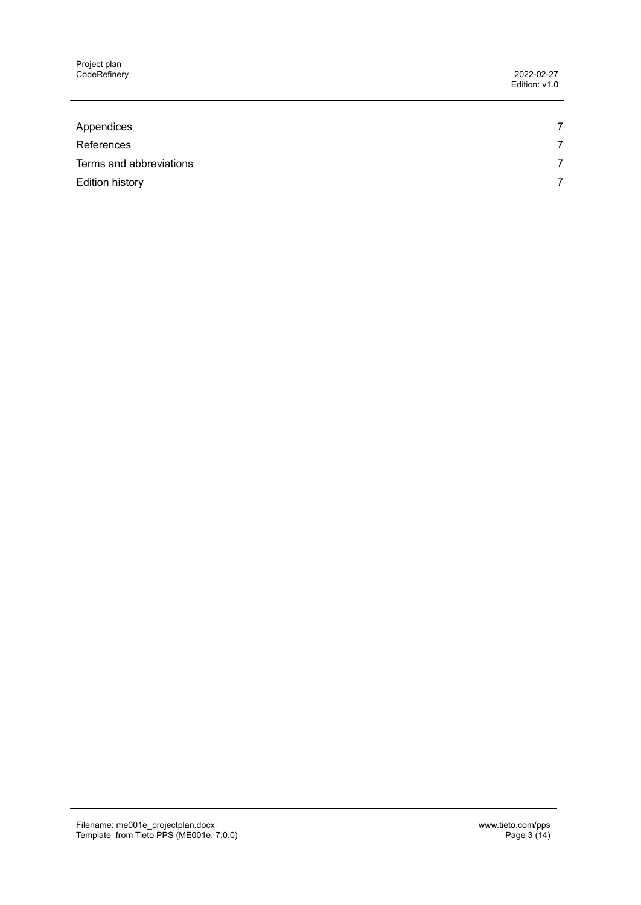Project plan CodeRefinery 2022-02-27

Edition: v1.0

| Appendices              | $\overline{ }$ |
|-------------------------|----------------|
| References              | 7              |
| Terms and abbreviations | 7              |
| Edition history         | 7              |
|                         |                |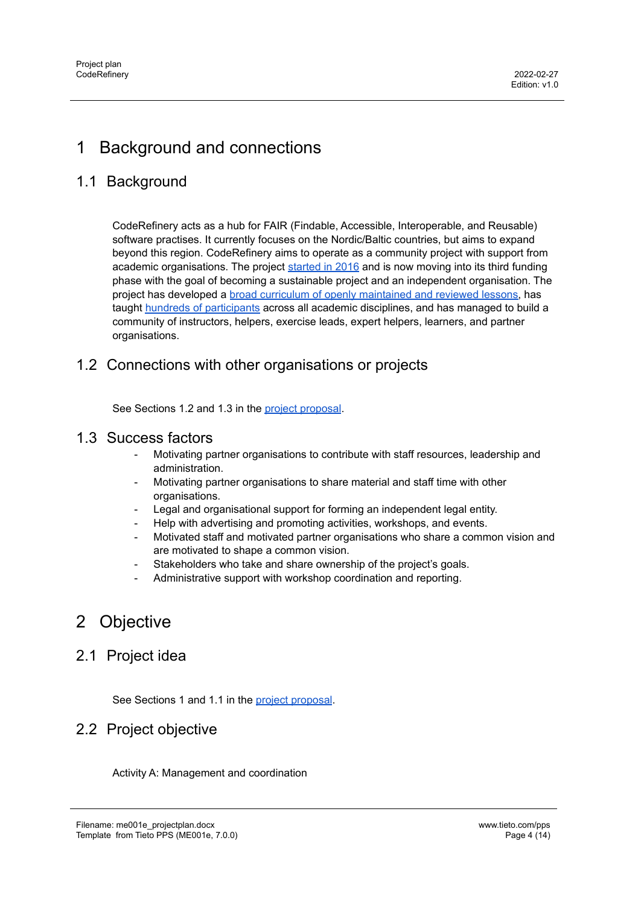# <span id="page-3-0"></span>1 Background and connections

# <span id="page-3-1"></span>1.1 Background

CodeRefinery acts as a hub for FAIR (Findable, Accessible, Interoperable, and Reusable) software practises. It currently focuses on the Nordic/Baltic countries, but aims to expand beyond this region. CodeRefinery aims to operate as a community project with support from academic organisations. The project [started](https://coderefinery.org/about/history/) in 2016 and is now moving into its third funding phase with the goal of becoming a sustainable project and an independent organisation. The project has developed a broad curriculum of openly [maintained](https://coderefinery.org/lessons/) and reviewed lessons, has taught hundreds of [participants](https://coderefinery.org/about/statistics/) across all academic disciplines, and has managed to build a community of instructors, helpers, exercise leads, expert helpers, learners, and partner organisations.

## <span id="page-3-2"></span>1.2 Connections with other organisations or projects

See Sections 1.2 and 1.3 in the project [proposal](https://coderefinery.org/about/reports/open-call-2021-proposal.pdf).

#### <span id="page-3-3"></span>1.3 Success factors

- Motivating partner organisations to contribute with staff resources, leadership and administration.
- Motivating partner organisations to share material and staff time with other organisations.
- Legal and organisational support for forming an independent legal entity.
- Help with advertising and promoting activities, workshops, and events.
- Motivated staff and motivated partner organisations who share a common vision and are motivated to shape a common vision.
- Stakeholders who take and share ownership of the project's goals.
- Administrative support with workshop coordination and reporting.

# <span id="page-3-4"></span>2 Objective

## <span id="page-3-5"></span>2.1 Project idea

See Sections 1 and 1.1 in the project [proposal](https://coderefinery.org/about/reports/open-call-2021-proposal.pdf).

## <span id="page-3-6"></span>2.2 Project objective

Activity A: Management and coordination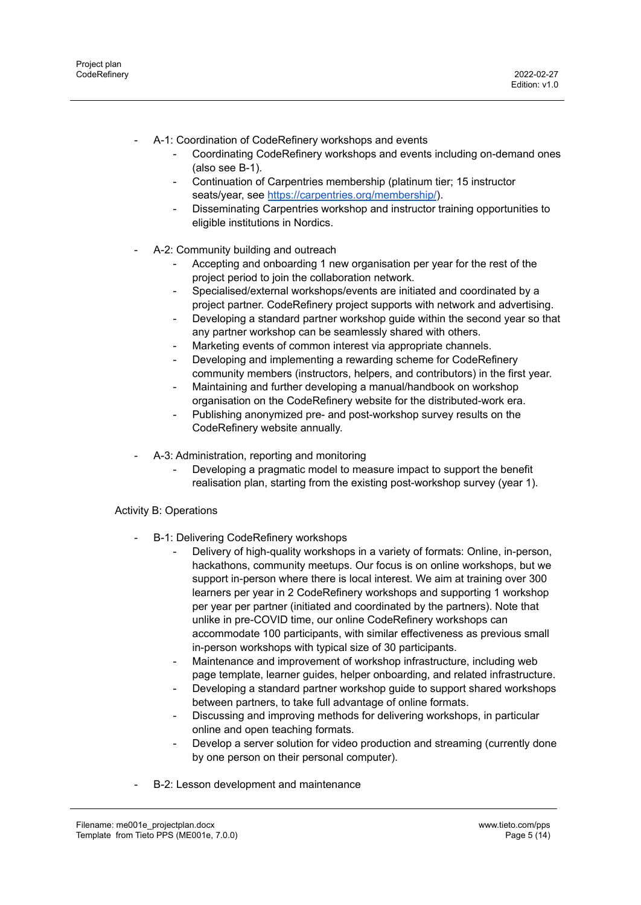- A-1: Coordination of CodeRefinery workshops and events
	- Coordinating CodeRefinery workshops and events including on-demand ones (also see B-1).
	- Continuation of Carpentries membership (platinum tier; 15 instructor seats/year, see <https://carpentries.org/membership/>).
	- Disseminating Carpentries workshop and instructor training opportunities to eligible institutions in Nordics.
- A-2: Community building and outreach
	- Accepting and onboarding 1 new organisation per year for the rest of the project period to join the collaboration network.
	- Specialised/external workshops/events are initiated and coordinated by a project partner. CodeRefinery project supports with network and advertising.
	- Developing a standard partner workshop guide within the second year so that any partner workshop can be seamlessly shared with others.
	- Marketing events of common interest via appropriate channels.
	- Developing and implementing a rewarding scheme for CodeRefinery community members (instructors, helpers, and contributors) in the first year.
	- Maintaining and further developing a manual/handbook on workshop organisation on the CodeRefinery website for the distributed-work era.
	- Publishing anonymized pre- and post-workshop survey results on the CodeRefinery website annually.
- A-3: Administration, reporting and monitoring
	- Developing a pragmatic model to measure impact to support the benefit realisation plan, starting from the existing post-workshop survey (year 1).

#### Activity B: Operations

- B-1: Delivering CodeRefinery workshops
	- Delivery of high-quality workshops in a variety of formats: Online, in-person, hackathons, community meetups. Our focus is on online workshops, but we support in-person where there is local interest. We aim at training over 300 learners per year in 2 CodeRefinery workshops and supporting 1 workshop per year per partner (initiated and coordinated by the partners). Note that unlike in pre-COVID time, our online CodeRefinery workshops can accommodate 100 participants, with similar effectiveness as previous small in-person workshops with typical size of 30 participants.
	- Maintenance and improvement of workshop infrastructure, including web page template, learner guides, helper onboarding, and related infrastructure.
	- Developing a standard partner workshop guide to support shared workshops between partners, to take full advantage of online formats.
	- Discussing and improving methods for delivering workshops, in particular online and open teaching formats.
	- Develop a server solution for video production and streaming (currently done by one person on their personal computer).
- B-2: Lesson development and maintenance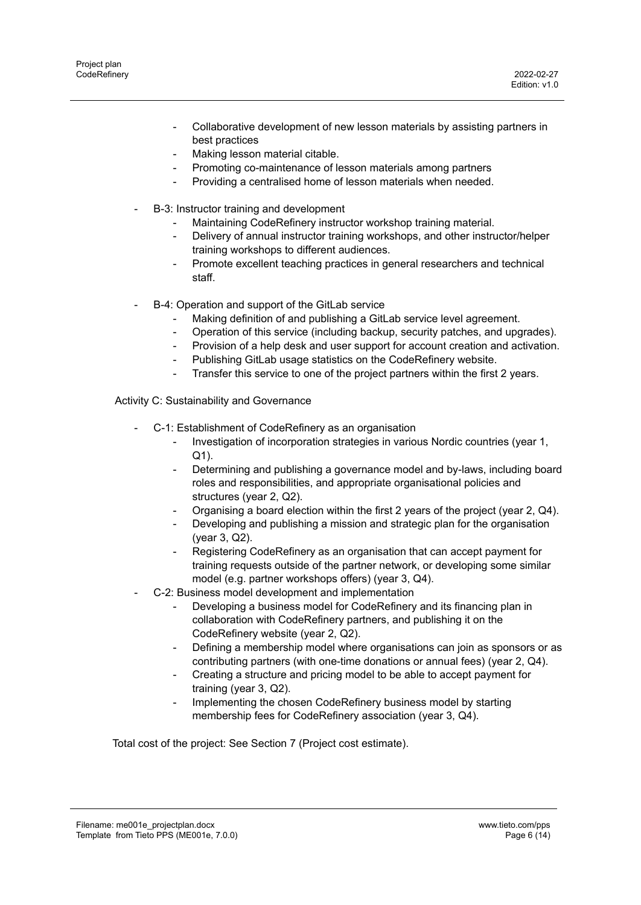- Collaborative development of new lesson materials by assisting partners in best practices
- Making lesson material citable.
- Promoting co-maintenance of lesson materials among partners
- Providing a centralised home of lesson materials when needed.
- B-3: Instructor training and development
	- Maintaining CodeRefinery instructor workshop training material.
	- Delivery of annual instructor training workshops, and other instructor/helper training workshops to different audiences.
	- Promote excellent teaching practices in general researchers and technical staff.
- B-4: Operation and support of the GitLab service
	- Making definition of and publishing a GitLab service level agreement.
	- Operation of this service (including backup, security patches, and upgrades).
	- Provision of a help desk and user support for account creation and activation.
	- Publishing GitLab usage statistics on the CodeRefinery website.
	- Transfer this service to one of the project partners within the first 2 years.

Activity C: Sustainability and Governance

- C-1: Establishment of CodeRefinery as an organisation
	- Investigation of incorporation strategies in various Nordic countries (year 1, Q1).
	- Determining and publishing a governance model and by-laws, including board roles and responsibilities, and appropriate organisational policies and structures (year 2, Q2).
	- Organising a board election within the first 2 years of the project (year 2, Q4).
	- Developing and publishing a mission and strategic plan for the organisation (year 3, Q2).
	- Registering CodeRefinery as an organisation that can accept payment for training requests outside of the partner network, or developing some similar model (e.g. partner workshops offers) (year 3, Q4).
- C-2: Business model development and implementation
	- Developing a business model for CodeRefinery and its financing plan in collaboration with CodeRefinery partners, and publishing it on the CodeRefinery website (year 2, Q2).
	- Defining a membership model where organisations can join as sponsors or as contributing partners (with one-time donations or annual fees) (year 2, Q4).
	- Creating a structure and pricing model to be able to accept payment for training (year 3, Q2).
	- Implementing the chosen CodeRefinery business model by starting membership fees for CodeRefinery association (year 3, Q4).

Total cost of the project: See Section 7 (Project cost estimate).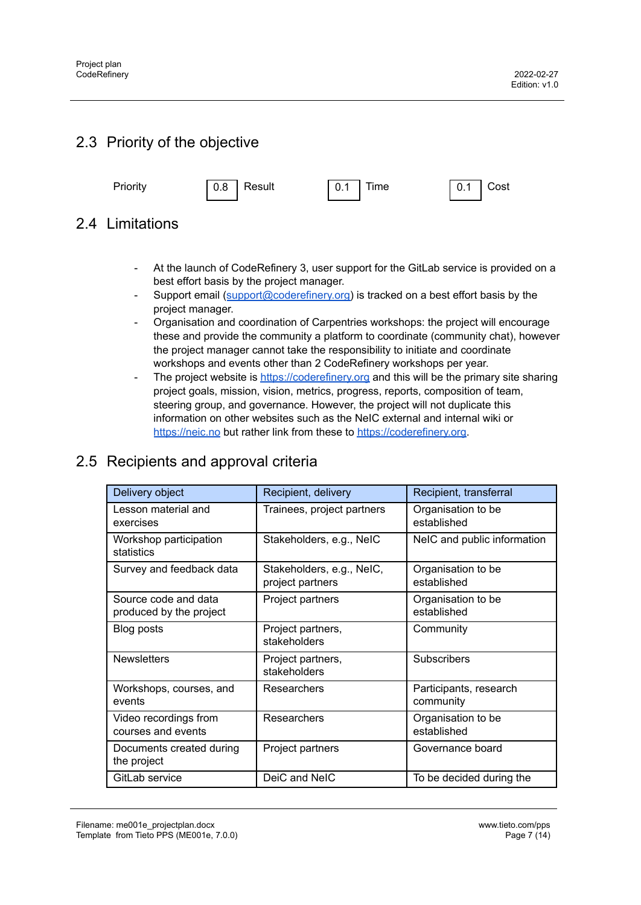# <span id="page-6-0"></span>2.3 Priority of the objective



## <span id="page-6-1"></span>2.4 Limitations

- At the launch of CodeRefinery 3, user support for the GitLab service is provided on a best effort basis by the project manager.
- Support email ([support@coderefinery.org\)](mailto:support@coderefinery.org) is tracked on a best effort basis by the project manager.
- Organisation and coordination of Carpentries workshops: the project will encourage these and provide the community a platform to coordinate (community chat), however the project manager cannot take the responsibility to initiate and coordinate workshops and events other than 2 CodeRefinery workshops per year.
- The project website is <https://coderefinery.org> and this will be the primary site sharing project goals, mission, vision, metrics, progress, reports, composition of team, steering group, and governance. However, the project will not duplicate this information on other websites such as the NeIC external and internal wiki or <https://neic.no> but rather link from these to [https://coderefinery.org.](https://coderefinery.org)

# <span id="page-6-2"></span>2.5 Recipients and approval criteria

| Delivery object                                 | Recipient, delivery                           | Recipient, transferral              |
|-------------------------------------------------|-----------------------------------------------|-------------------------------------|
| Lesson material and<br>exercises                | Trainees, project partners                    | Organisation to be<br>established   |
| Workshop participation<br>statistics            | Stakeholders, e.g., NeIC                      | NeIC and public information         |
| Survey and feedback data                        | Stakeholders, e.g., NeIC,<br>project partners | Organisation to be<br>established   |
| Source code and data<br>produced by the project | Project partners                              | Organisation to be<br>established   |
| Blog posts                                      | Project partners,<br>stakeholders             | Community                           |
| <b>Newsletters</b>                              | Project partners,<br>stakeholders             | <b>Subscribers</b>                  |
| Workshops, courses, and<br>events               | <b>Researchers</b>                            | Participants, research<br>community |
| Video recordings from<br>courses and events     | <b>Researchers</b>                            | Organisation to be<br>established   |
| Documents created during<br>the project         | Project partners                              | Governance board                    |
| GitLab service                                  | DeiC and NeIC                                 | To be decided during the            |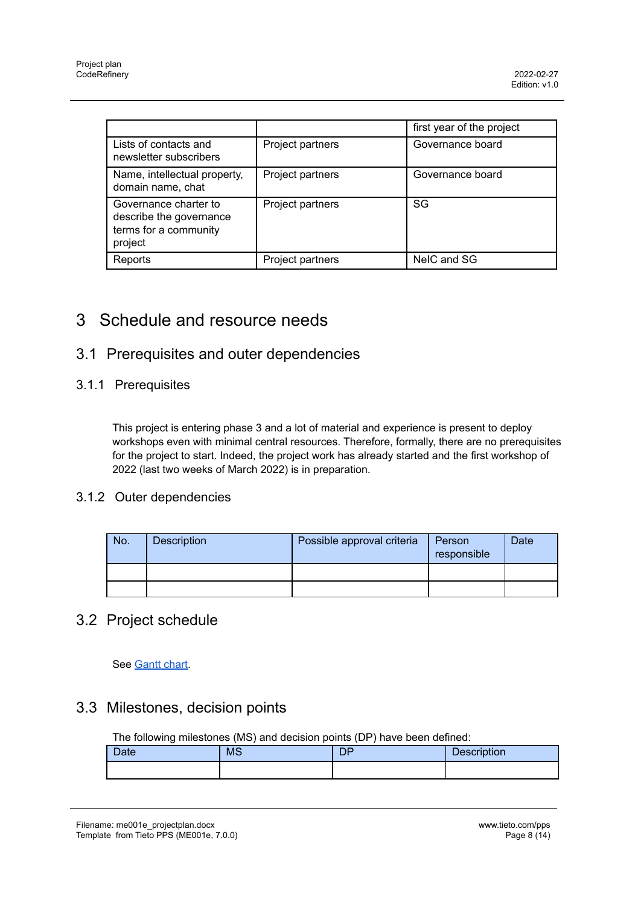|                                                                                      |                  | first year of the project |
|--------------------------------------------------------------------------------------|------------------|---------------------------|
| Lists of contacts and<br>newsletter subscribers                                      | Project partners | Governance board          |
| Name, intellectual property,<br>domain name, chat                                    | Project partners | Governance board          |
| Governance charter to<br>describe the governance<br>terms for a community<br>project | Project partners | SG                        |
| Reports                                                                              | Project partners | NeIC and SG               |

# <span id="page-7-0"></span>3 Schedule and resource needs

## <span id="page-7-1"></span>3.1 Prerequisites and outer dependencies

#### 3.1.1 Prerequisites

This project is entering phase 3 and a lot of material and experience is present to deploy workshops even with minimal central resources. Therefore, formally, there are no prerequisites for the project to start. Indeed, the project work has already started and the first workshop of 2022 (last two weeks of March 2022) is in preparation.

#### 3.1.2 Outer dependencies

| No. | <b>Description</b> | Possible approval criteria | Person<br>responsible | Date |
|-----|--------------------|----------------------------|-----------------------|------|
|     |                    |                            |                       |      |
|     |                    |                            |                       |      |

## <span id="page-7-2"></span>3.2 Project schedule

See [Gantt](https://docs.google.com/spreadsheets/d/1WxCO2R0hUN5kzJ4p-8T85JuKTWWlTX-_7z-4xPc9V-U/) chart.

## <span id="page-7-3"></span>3.3 Milestones, decision points

The following milestones (MS) and decision points (DP) have been defined:

| <b>Date</b> | <b>MS</b> | DP | <b>Description</b> |
|-------------|-----------|----|--------------------|
|             |           |    |                    |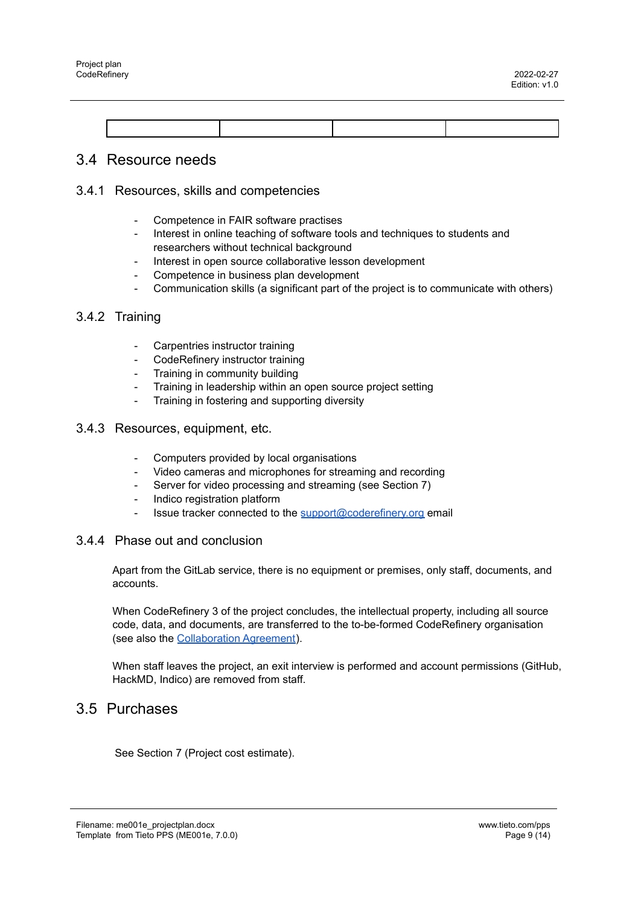#### <span id="page-8-0"></span>3.4 Resource needs

#### 3.4.1 Resources, skills and competencies

- Competence in FAIR software practises
- Interest in online teaching of software tools and techniques to students and researchers without technical background
- Interest in open source collaborative lesson development
- Competence in business plan development
- Communication skills (a significant part of the project is to communicate with others)

#### 3.4.2 Training

- Carpentries instructor training
- CodeRefinery instructor training
- Training in community building
- Training in leadership within an open source project setting
- Training in fostering and supporting diversity
- 3.4.3 Resources, equipment, etc.
	- Computers provided by local organisations
	- Video cameras and microphones for streaming and recording
	- Server for video processing and streaming (see Section 7)
	- Indico registration platform
	- Issue tracker connected to the [support@coderefinery.org](mailto:support@coderefinery.org) email

#### 3.4.4 Phase out and conclusion

Apart from the GitLab service, there is no equipment or premises, only staff, documents, and accounts.

When CodeRefinery 3 of the project concludes, the intellectual property, including all source code, data, and documents, are transferred to the to-be-formed CodeRefinery organisation (see also the [Collaboration](https://coderefinery.org/about/reports/phase-3-collaboration-agreement.pdf) Agreement).

When staff leaves the project, an exit interview is performed and account permissions (GitHub, HackMD, Indico) are removed from staff.

#### <span id="page-8-1"></span>3.5 Purchases

See Section 7 (Project cost estimate).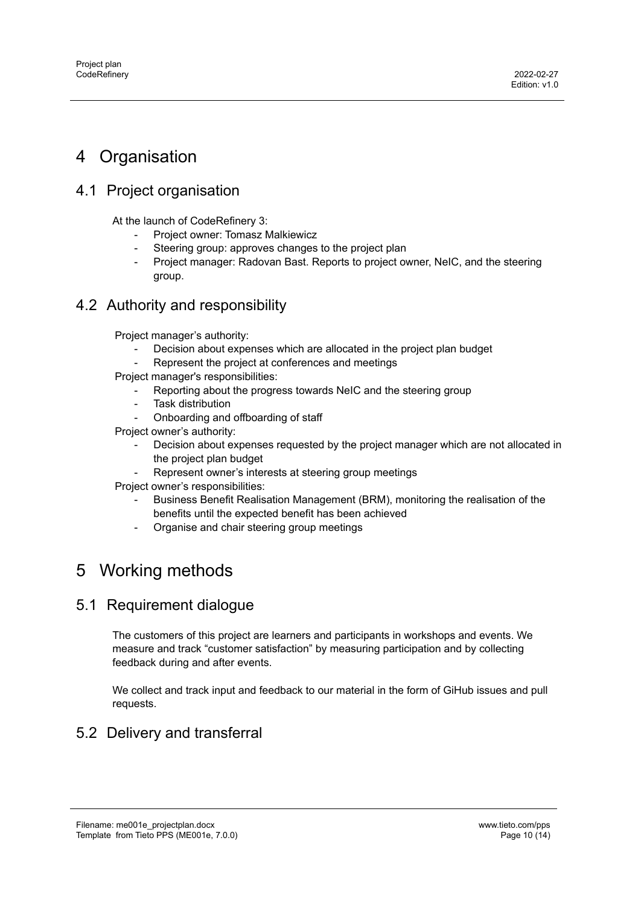# <span id="page-9-0"></span>4 Organisation

# <span id="page-9-1"></span>4.1 Project organisation

At the launch of CodeRefinery 3:

- Project owner: Tomasz Malkiewicz
- Steering group: approves changes to the project plan
- Project manager: Radovan Bast. Reports to project owner, NeIC, and the steering group.

## <span id="page-9-2"></span>4.2 Authority and responsibility

Project manager's authority:

- Decision about expenses which are allocated in the project plan budget
- Represent the project at conferences and meetings
- Project manager's responsibilities:
	- Reporting about the progress towards NeIC and the steering group
	- Task distribution
	- Onboarding and offboarding of staff

Project owner's authority:

- Decision about expenses requested by the project manager which are not allocated in the project plan budget
- Represent owner's interests at steering group meetings
- Project owner's responsibilities:
	- Business Benefit Realisation Management (BRM), monitoring the realisation of the benefits until the expected benefit has been achieved
	- Organise and chair steering group meetings

# <span id="page-9-3"></span>5 Working methods

## <span id="page-9-4"></span>5.1 Requirement dialogue

The customers of this project are learners and participants in workshops and events. We measure and track "customer satisfaction" by measuring participation and by collecting feedback during and after events.

We collect and track input and feedback to our material in the form of GiHub issues and pull requests.

## <span id="page-9-5"></span>5.2 Delivery and transferral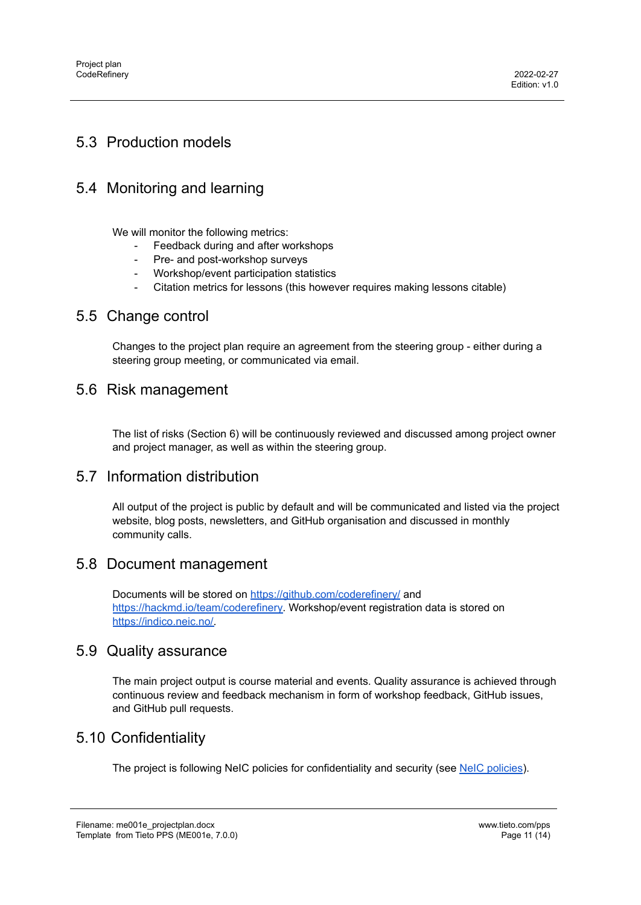## <span id="page-10-0"></span>5.3 Production models

## <span id="page-10-1"></span>5.4 Monitoring and learning

We will monitor the following metrics:

- Feedback during and after workshops
- Pre- and post-workshop surveys
- Workshop/event participation statistics
- Citation metrics for lessons (this however requires making lessons citable)

#### <span id="page-10-2"></span>5.5 Change control

Changes to the project plan require an agreement from the steering group - either during a steering group meeting, or communicated via email.

### <span id="page-10-3"></span>5.6 Risk management

The list of risks (Section 6) will be continuously reviewed and discussed among project owner and project manager, as well as within the steering group.

#### <span id="page-10-4"></span>5.7 Information distribution

All output of the project is public by default and will be communicated and listed via the project website, blog posts, newsletters, and GitHub organisation and discussed in monthly community calls.

#### <span id="page-10-5"></span>5.8 Document management

Documents will be stored on <https://github.com/coderefinery/> and [https://hackmd.io/team/coderefinery.](https://hackmd.io/team/coderefinery) Workshop/event registration data is stored on [https://indico.neic.no/.](https://indico.neic.no/)

#### <span id="page-10-6"></span>5.9 Quality assurance

The main project output is course material and events. Quality assurance is achieved through continuous review and feedback mechanism in form of workshop feedback, GitHub issues, and GitHub pull requests.

## <span id="page-10-7"></span>5.10 Confidentiality

The project is following NeIC [policies](https://wiki.neic.no/wiki/Category:Policy) for confidentiality and security (see NeIC policies).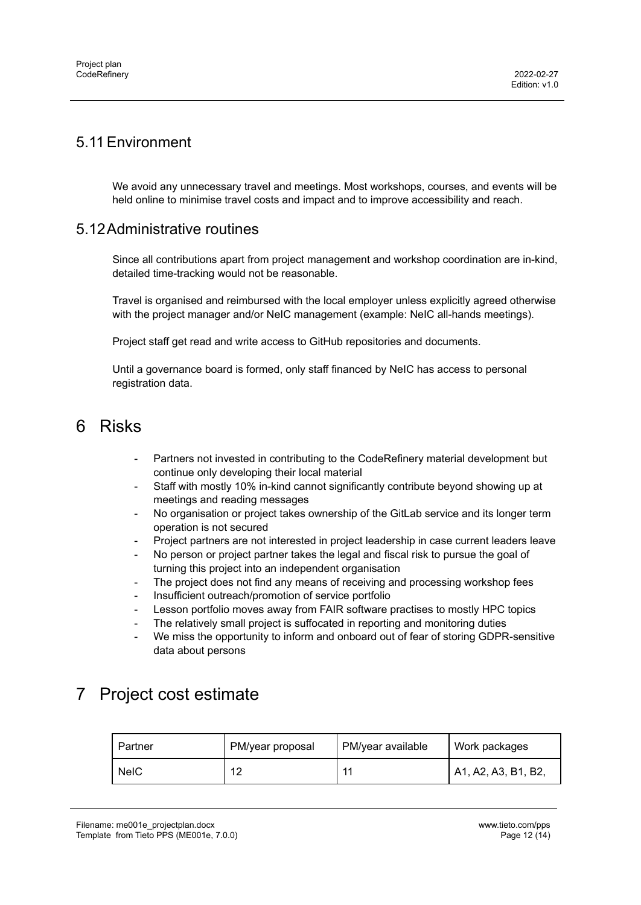## <span id="page-11-0"></span>5.11Environment

We avoid any unnecessary travel and meetings. Most workshops, courses, and events will be held online to minimise travel costs and impact and to improve accessibility and reach.

#### <span id="page-11-1"></span>5.12Administrative routines

Since all contributions apart from project management and workshop coordination are in-kind, detailed time-tracking would not be reasonable.

Travel is organised and reimbursed with the local employer unless explicitly agreed otherwise with the project manager and/or NeIC management (example: NeIC all-hands meetings).

Project staff get read and write access to GitHub repositories and documents.

Until a governance board is formed, only staff financed by NeIC has access to personal registration data.

# <span id="page-11-2"></span>6 Risks

- Partners not invested in contributing to the CodeRefinery material development but continue only developing their local material
- Staff with mostly 10% in-kind cannot significantly contribute beyond showing up at meetings and reading messages
- No organisation or project takes ownership of the GitLab service and its longer term operation is not secured
- Project partners are not interested in project leadership in case current leaders leave
- No person or project partner takes the legal and fiscal risk to pursue the goal of turning this project into an independent organisation
- The project does not find any means of receiving and processing workshop fees
- Insufficient outreach/promotion of service portfolio
- Lesson portfolio moves away from FAIR software practises to mostly HPC topics
- The relatively small project is suffocated in reporting and monitoring duties
- We miss the opportunity to inform and onboard out of fear of storing GDPR-sensitive data about persons

# <span id="page-11-3"></span>7 Project cost estimate

| Partner     | PM/year proposal | PM/year available | Work packages       |
|-------------|------------------|-------------------|---------------------|
| <b>NeIC</b> | 10               | -11               | A1, A2, A3, B1, B2, |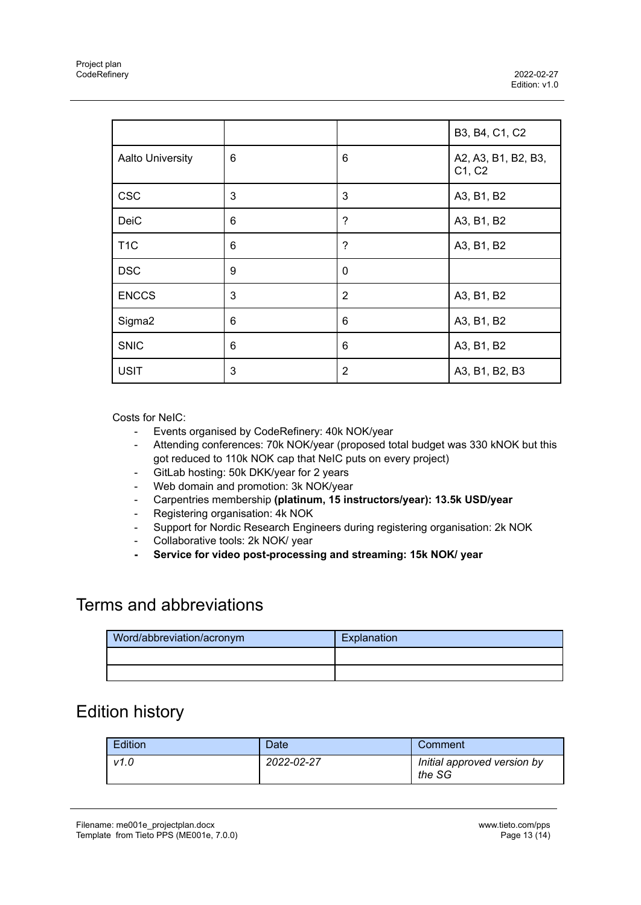|                         |   |                          | B3, B4, C1, C2                |
|-------------------------|---|--------------------------|-------------------------------|
| <b>Aalto University</b> | 6 | 6                        | A2, A3, B1, B2, B3,<br>C1, C2 |
| <b>CSC</b>              | 3 | 3                        | A3, B1, B2                    |
| DeiC                    | 6 | $\boldsymbol{?}$         | A3, B1, B2                    |
| T <sub>1</sub> C        | 6 | $\overline{\phantom{0}}$ | A3, B1, B2                    |
| <b>DSC</b>              | 9 | $\mathbf 0$              |                               |
| <b>ENCCS</b>            | 3 | $\overline{2}$           | A3, B1, B2                    |
| Sigma <sub>2</sub>      | 6 | 6                        | A3, B1, B2                    |
| <b>SNIC</b>             | 6 | 6                        | A3, B1, B2                    |
| <b>USIT</b>             | 3 | $\overline{2}$           | A3, B1, B2, B3                |

Costs for NeIC:

- Events organised by CodeRefinery: 40k NOK/year
- Attending conferences: 70k NOK/year (proposed total budget was 330 kNOK but this got reduced to 110k NOK cap that NeIC puts on every project)
- GitLab hosting: 50k DKK/year for 2 years
- Web domain and promotion: 3k NOK/year
- Carpentries membership **(platinum, 15 instructors/year): 13.5k USD/year**
- Registering organisation: 4k NOK
- Support for Nordic Research Engineers during registering organisation: 2k NOK
- Collaborative tools: 2k NOK/ year
- **- Service for video post-processing and streaming: 15k NOK/ year**

# <span id="page-12-0"></span>Terms and abbreviations

| Word/abbreviation/acronym | Explanation |
|---------------------------|-------------|
|                           |             |
|                           |             |

# <span id="page-12-1"></span>Edition history

| <b>Edition</b> | Date:      | Comment                               |
|----------------|------------|---------------------------------------|
| v1.0           | 2022-02-27 | Initial approved version by<br>the SG |